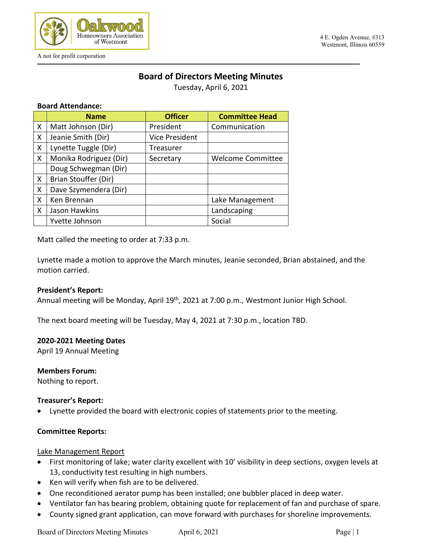

A not for profit corporation

#### 4 E. Ogden Avenue, #313 Westmont, Illinois 60559

# **Board of Directors Meeting Minutes**

Tuesday, April 6, 2021

### **Board Attendance:**

|   | <b>Name</b>            | <b>Officer</b>        | <b>Committee Head</b>    |
|---|------------------------|-----------------------|--------------------------|
| X | Matt Johnson (Dir)     | President             | Communication            |
| X | Jeanie Smith (Dir)     | <b>Vice President</b> |                          |
| X | Lynette Tuggle (Dir)   | Treasurer             |                          |
| X | Monika Rodriguez (Dir) | Secretary             | <b>Welcome Committee</b> |
|   | Doug Schwegman (Dir)   |                       |                          |
| X | Brian Stouffer (Dir)   |                       |                          |
| X | Dave Szymendera (Dir)  |                       |                          |
| X | Ken Brennan            |                       | Lake Management          |
| X | Jason Hawkins          |                       | Landscaping              |
|   | Yvette Johnson         |                       | Social                   |

Matt called the meeting to order at 7:33 p.m.

Lynette made a motion to approve the March minutes, Jeanie seconded, Brian abstained, and the motion carried.

#### **President's Report:**

Annual meeting will be Monday, April 19<sup>th</sup>, 2021 at 7:00 p.m., Westmont Junior High School.

The next board meeting will be Tuesday, May 4, 2021 at 7:30 p.m., location TBD.

#### **2020-2021 Meeting Dates**

April 19 Annual Meeting

#### **Members Forum:**

Nothing to report.

### **Treasurer's Report:**

• Lynette provided the board with electronic copies of statements prior to the meeting.

### **Committee Reports:**

#### Lake Management Report

- First monitoring of lake; water clarity excellent with 10' visibility in deep sections, oxygen levels at 13, conductivity test resulting in high numbers.
- Ken will verify when fish are to be delivered.
- One reconditioned aerator pump has been installed; one bubbler placed in deep water.
- Ventilator fan has bearing problem, obtaining quote for replacement of fan and purchase of spare.
- County signed grant application, can move forward with purchases for shoreline improvements.